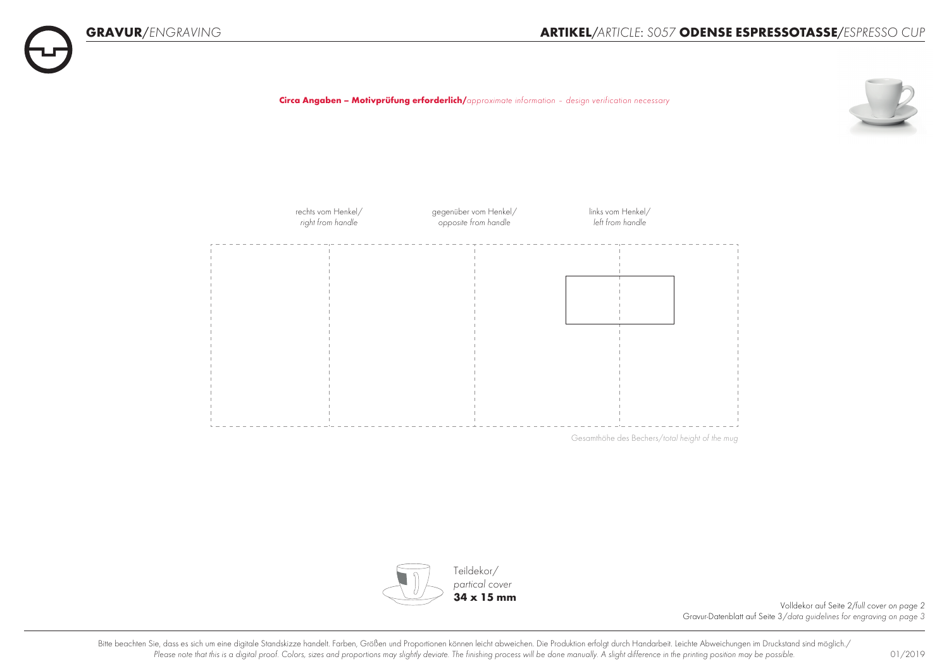







Volldekor auf Seite 2*/full cover on page 2* Gravur-Datenblatt auf Seite 3/*data guidelines for engraving on page 3*

Bitte beachten Sie, dass es sich um eine digitale Standskizze handelt. Farben, Größen und Proportionen können leicht abweichen. Die Produktion erfolgt durch Handarbeit. Leichte Abweichungen im Druckstand sind möglich./ Please note that this is a digital proof. Colors, sizes and proportions may slightly deviate. The finishing process will be done manually. A slight difference in the printing position may be possible. 01/2019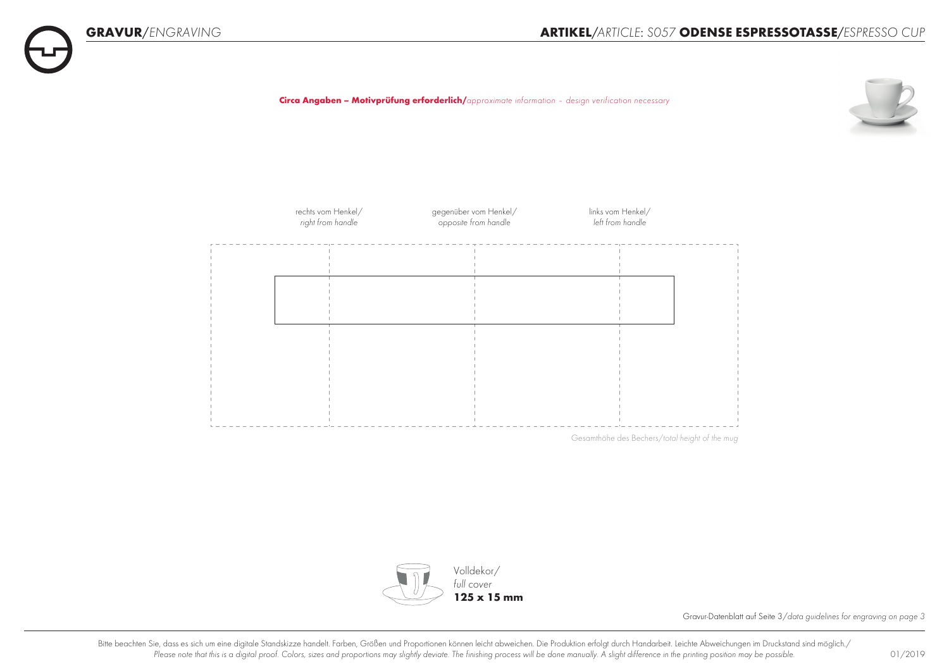**Circa Angaben – Motivprüfung erforderlich/***approximate information – design verification necessary*





Gesamthöhe des Bechers/*total height of the mug*



Gravur-Datenblatt auf Seite 3/*data guidelines for engraving on page 3*

Bitte beachten Sie, dass es sich um eine digitale Standskizze handelt. Farben, Größen und Proportionen können leicht abweichen. Die Produktion erfolgt durch Handarbeit. Leichte Abweichungen im Druckstand sind möglich./ Please note that this is a digital proof. Colors, sizes and proportions may slightly deviate. The finishing process will be done manually. A slight difference in the printing position may be possible. 01/2019